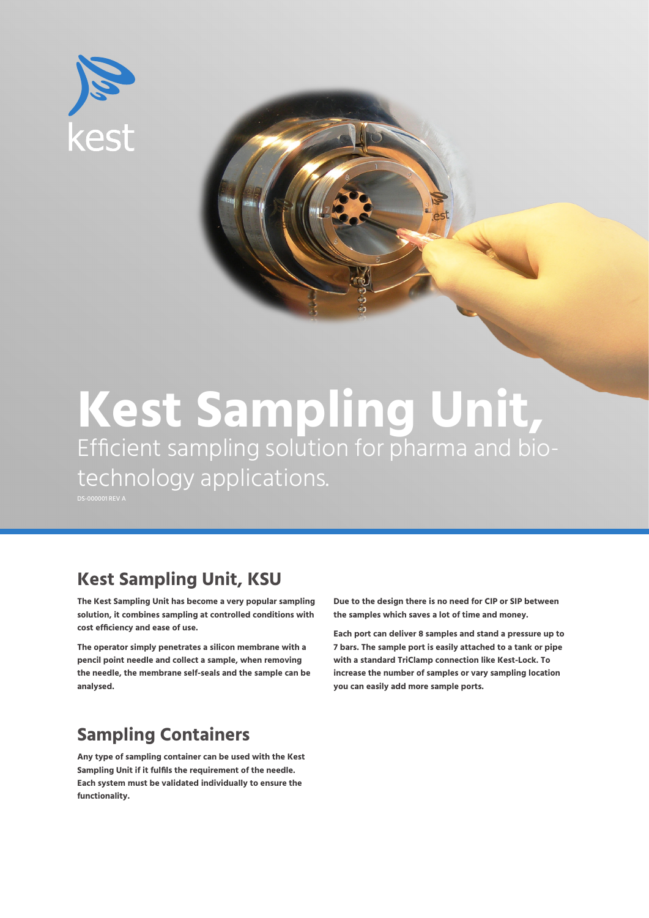

DS-000001 REV A

# **Kest Sampling Unit,**  Efficient sampling solution for pharma and biotechnology applications.

### **Kest Sampling Unit, KSU**

**The Kest Sampling Unit has become a very popular sampling solution, it combines sampling at controlled conditions with cost efficiency and ease of use.**

**The operator simply penetrates a silicon membrane with a pencil point needle and collect a sample, when removing the needle, the membrane self-seals and the sample can be analysed.**

#### **Sampling Containers**

**Any type of sampling container can be used with the Kest Sampling Unit if it fulfils the requirement of the needle. Each system must be validated individually to ensure the functionality.** 

**Due to the design there is no need for CIP or SIP between the samples which saves a lot of time and money.** 

est

**Each port can deliver 8 samples and stand a pressure up to 7 bars. The sample port is easily attached to a tank or pipe with a standard TriClamp connection like Kest-Lock. To increase the number of samples or vary sampling location you can easily add more sample ports.**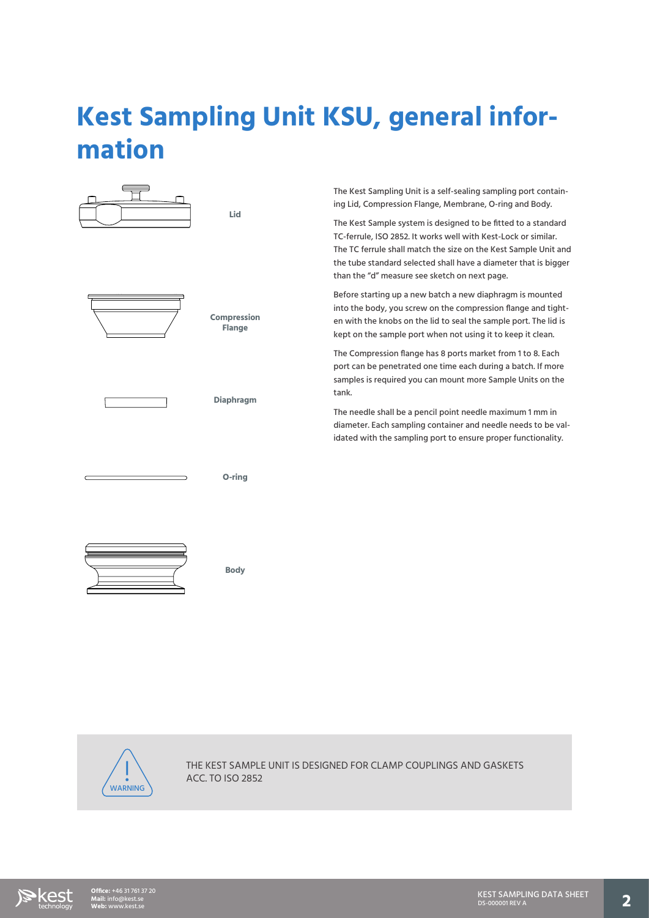## **Kest Sampling Unit KSU, general information**





THE KEST SAMPLE UNIT IS DESIGNED FOR CLAMP COUPLINGS AND GASKETS<br>ACC. TO ISO 2852

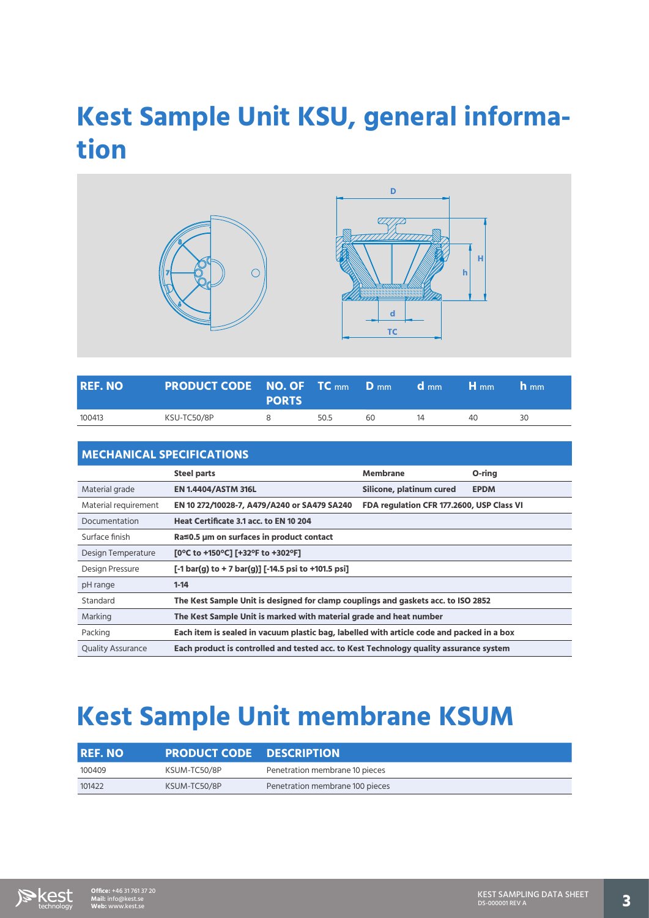## **Kest Sample Unit KSU, general information**



| <b>IREF. NO</b> | <b>PRODUCT CODE NO. OF TC mm D mm d</b> | <b>PORTS</b> |      |    | $d_{mm}$ | $H_{mm}$ | $h_{mm}$ |
|-----------------|-----------------------------------------|--------------|------|----|----------|----------|----------|
| 100413          | KSU-TC50/8P                             |              | 50.5 | 60 | 14       | 40.      | 30       |

| <b>MECHANICAL SPECIFICATIONS</b> |                                                                                                                                 |                                           |             |  |  |  |
|----------------------------------|---------------------------------------------------------------------------------------------------------------------------------|-------------------------------------------|-------------|--|--|--|
|                                  | <b>Steel parts</b>                                                                                                              | Membrane                                  | O-ring      |  |  |  |
| Material grade                   | <b>EN 1.4404/ASTM 316L</b>                                                                                                      | Silicone, platinum cured                  | <b>EPDM</b> |  |  |  |
| Material requirement             | EN 10 272/10028-7, A479/A240 or SA479 SA240                                                                                     | FDA regulation CFR 177.2600, USP Class VI |             |  |  |  |
| Documentation                    | Heat Certificate 3.1 acc. to EN 10 204                                                                                          |                                           |             |  |  |  |
| Surface finish                   | Ra≤0.5 µm on surfaces in product contact                                                                                        |                                           |             |  |  |  |
| Design Temperature               | [0°C to +150°C] [+32°F to +302°F]                                                                                               |                                           |             |  |  |  |
| Design Pressure                  | $\lceil -1 \text{ bar}(q) \text{ to } + 7 \text{ bar}(q) \rceil \lceil -14.5 \text{ psi} \rceil$ to $+101.5 \text{ psi} \rceil$ |                                           |             |  |  |  |
| pH range                         | $1 - 14$                                                                                                                        |                                           |             |  |  |  |
| Standard                         | The Kest Sample Unit is designed for clamp couplings and gaskets acc. to ISO 2852                                               |                                           |             |  |  |  |
| Marking                          | The Kest Sample Unit is marked with material grade and heat number                                                              |                                           |             |  |  |  |
| Packing                          | Each item is sealed in vacuum plastic bag, labelled with article code and packed in a box                                       |                                           |             |  |  |  |
| <b>Quality Assurance</b>         | Each product is controlled and tested acc. to Kest Technology quality assurance system                                          |                                           |             |  |  |  |

## **Kest Sample Unit membrane KSUM**

| <b>REF. NO</b> | <b>PRODUCT CODE DESCRIPTION</b> |                                 |
|----------------|---------------------------------|---------------------------------|
| 100409         | KSUM-TC50/8P                    | Penetration membrane 10 pieces  |
| 101422         | KSUM-TC50/8P                    | Penetration membrane 100 pieces |